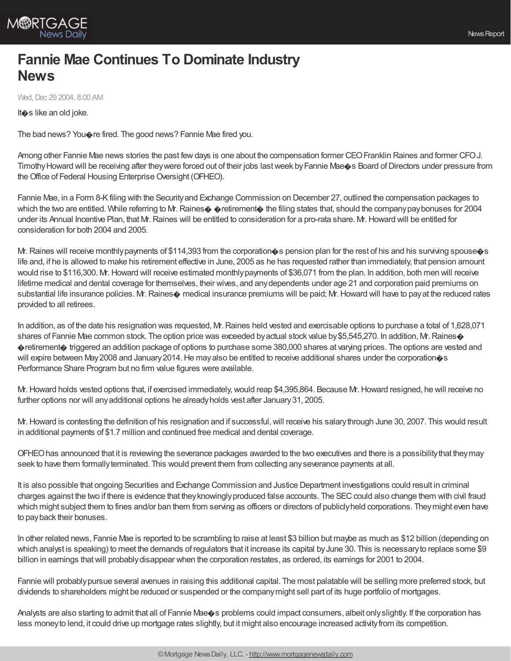

## **Fannie Mae Continues To Dominate Industry News**

Wed, Dec 29 2004, 8:00 AM

It�s like an old joke.

The bad news? You $\diamondsuit$  re fired. The good news? Fannie Mae fired you.

Among other Fannie Mae news stories the past few days is one about the compensation former CEO Franklin Raines and former CFO J. Timothy Howard will be receiving after they were forced out of their jobs last week by Fannie Mae. Board of Directors under pressure from the Office of Federal Housing Enterprise Oversight (OFHEO).

Fannie Mae, in a Form 8-Kfiling with the Securityand Exchange Commission on December 27, outlined the compensation packages to which the two are entitled. While referring to M. Raines $\diamondsuit$  pretirement $\diamondsuit$  the filing states that, should the company pay bonuses for 2004 under its Annual Incentive Plan, that Mr.Raines will be entitled to consideration for a pro-rata share. Mr.Howard will be entitled for consideration for both 2004 and 2005.

M. Raines will receive monthly payments of \$114,393 from the corporation $\bullet$ s pension plan for the rest of his and his surviving spouse $\bullet$ s life and, if he is allowed to make his retirement effective in June, 2005 as he has requested rather than immediately, that pension amount would rise to \$116,300. Mr. Howard will receive estimated monthly payments of \$36,071 from the plan. In addition, both men will receive lifetime medical and dental coverage for themselves, their wives, and anydependents under age 21 and corporation paid premiums on substantial life insurance policies. Mr. Raines $\diamond$  medical insurance premiums will be paid; Mr. Howard will have to pay at the reduced rates provided to all retirees.

In addition, as of the date his resignation was requested, Mr.Raines held vested and exercisable options to purchase a total of 1,628,071 shares of Fannie Mae common stock. The option price was exceeded by actual stock value by \$5,545,270. In addition, Mr. Raines �retirement� triggered an addition package of options to purchase some 380,000 shares at varying prices. The options are vested and will expire between May 2008 and January 2014. He may also be entitled to receive additional shares under the corporation  $\circ$ s Performance Share Program but no firm value figures were available.

Mr. Howard holds vested options that, if exercised immediately, would reap \$4,395,864. Because Mr. Howard resigned, he will receive no further options nor will anyadditional options he alreadyholds vest after January31, 2005.

Mr. Howard is contesting the definition of his resignation and if successful, will receive his salary through June 30, 2007. This would result in additional payments of \$1.7 million and continued free medical and dental coverage.

OFHEOhas announced that it is reviewing the severance packages awarded to the two executives and there is a possibilitythat theymay seek to have them formallyterminated. This would prevent them from collecting anyseverance payments at all.

It is also possible that ongoing Securities and Exchange Commission and Justice Department investigations could result in criminal charges against the two if there is evidence that they knowingly produced false accounts. The SEC could also change them with civil fraud which might subject them to fines and/or ban them from serving as officers or directors of publicly held corporations. They might even have to payback their bonuses.

In other related news, Fannie Mae is reported to be scrambling to raise at least \$3 billion but maybe as much as \$12 billion (depending on which analyst is speaking) to meet the demands of regulators that it increase its capital by June 30. This is necessary to replace some \$9 billion in earnings thatwill probablydisappear when the corporation restates, as ordered, its earnings for 2001 to 2004.

Fannie will probablypursue several avenues in raising this additional capital. The most palatable will be selling more preferred stock, but dividends to shareholders might be reduced or suspended or the companymight sell part of its huge portfolio of mortgages.

Analysts are also starting to admit that all of Fannie Mae $\otimes$ s problems could impact consumers, albeit only slightly. If the corporation has less moneyto lend, it could drive up mortgage rates slightly, but it might also encourage increased activityfrom its competition.